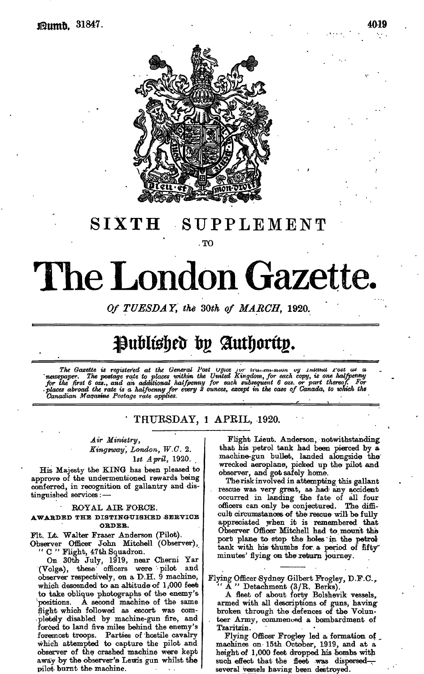

## **SIXTH** SUPPLEMENT

.TO

# The London Gazette. SIXTH S<br>
SIXTH S<br>
Of TUESDAY, the<br>
Contract is registered at the General<br>
The Gasette is registered at the General<br>
The Gasette is registered at the General<br>
The first 6 oze, and an additional half<br>
for the first 6 oze, an

*Of TUESDAY, the SOth of MARCH,* 1920.

# Published by Authority.

The Gazette is registered at the General Post  $\cup$  pues for transmission by Intima Tost as a<br>'newspaper. The postage rate to places within the United Kingdom, for each copy, is one halfpenny<br>for the first 6 ozs., and an a *Canadian Maqasine Postage rate applies.*<br> *•• <i>•• •• •• <i>•• •••* **•• •• •• ••• ••• ••• •••** 

### *'* THURSDAY, i APKIL, 1920.

### *Air Ministry,*

*Kingsway, London, W.C.* 2. 1st April, 1920.

His Majesty the KING has been pleased to approve of the undermentioned rewards being conferred, in recognition of gallantry and distinguished services: —

### ROYAL AIR FORGE.

### **AWABDED THE** DISTINGUISHED .SERVICE **OBDEB.**

Fit. Lt. Walter Fraser Anderson (Pilot).

Observer Officer John Mitchell (Observer), " C " Flight, 47th Squadron.

On 30th July, 1919, near Cherni Yar  $(Volga)$ , these officers were pilot observer respectively, on a D.H. 9 machine, which descended to an altitude of  $1,000$  feet to take oblique photographs of the enemy's A second machine of the same flight which followed as escort was completely disabled by machine-gun fire, and forced to land five miles behind the enemy's foremost troops. Parties of hostile cavalry which attempted to capture the pilot and observer of the crashed machine were kept away by the observer's Lewis gun whilst the pilot burnt the machine.

Flight Lieut. Anderson, notwithstanding that his petrol tank had been pierced by a machine-gun bullet, landed alongside the wrecked aeroplane, picked up the pilot and observer, and got safely home.

The risk involved in attempting this gallant rescue was very great, as had any accident occurred in landing £be fate of all four officers can only be conjectured. The difficult circumstances of the rescue will be fully appreciated when it is remembered that Observer Officer Mitchell had to mount the port plane to stop the holes in the petrol tank with his thumbs for a period of fifty minutes' flying on the return journey.

Flying Officer Sydney Gilbert Frogley, D.F.C., ying Omcer Sydney Gilbert Frogley<br>" A " Detachment (3/R. Berks).

A fleet of about forty Bolshevik vessels,, armed with all descriptions of guns, having broken through the defences of the Volun- . teer Army, commenced a bombardment of T'zaritzin.

Flying Officer Frogley led a formation of \_ machines on 15th October, 1919, and at a height of 1,000 feet dropped his bombs with such effect that the fleet was dispersedseveral vessels having been destroyed.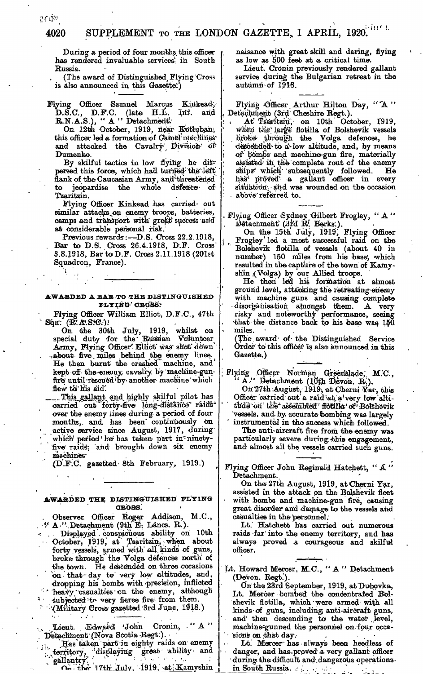*t*

During a period of four months, this officer has rendered invaluable services in South Russia.

The award of Distinguished Flying Cross is also announced in this Gazette:')

Flying Officer Samuel Marcus Kinkead, D.S.C., D.F.C. (late H.L. Irif. and R.N.A.S.), " A " Detachment:

On 12th October, 1919, riear Kotluban, this officer led a formation of Gamel machines and attacked the Cavalry Division of Dumenko.

By skilful tactics in low flying he dis-' persed this force, which had turned-the left flank of the Caucasian Army, and threatened<br>to jeopardise the whole defence of to jeopardise the whole defence of Tzaritzin.

Flying Officer Kinkead has carried- out similar attacks.on enemy troops, batteries, camps and transport with great success and at considerable personal risk.

Previous rewards:—D.S. Cross 22.2.1918, Bar to D.S. Cross 26,4.1918, D.F. Cross' 3.8.1918, BartoD.F. Cross 2.11.1918 (201st Squadron, France).

# AWARDED A BAB **,TO** THE DISTINGUISHED

Flying Officer William Elliot, D.F.C., 47th Sqn: (R.R.S.C.)

On the 30th July, 1919, whilst on special duty for the Russian Volunteer Army, Flying Officer' Elliot was shot down' -.a-bout five . miles behind the ememy lines. He then burnt the crashed machine, and ' kept off the enemy cavalry by machine-gunfire' until 'rescued 'by another machine 'which flew to his aid.

Thjs\_gallant .and. highly skilful pilot has carried out forty-five long-distance raidsover the enemy lines during a period of four months,, and has been" continuously on active service since August, 1917, during which' period ' he' has taken part in innetyfive' raids', and brought down six enemy machines'

(D'.FiC. gazetted 8th February, 1919.)

### **AWARDED THE DISTINGUISHED FLYING CEOiSlSi**

Observer. Officer Roger Addison, M.C., <br>
"A " Detachment (9th E. Lancs. R.). Displayed conspicuous ability on 10th October, 1919, at Tsaritzin, when about forty vessels, armed with all kinds of guns, broke through the Volga defences north of the town. He descended on three occasions on that day to very low altitudes, and, dropping his bombs with precision, inflicted • ' heavy''casualties-on the enemy,, although subjected ito very fierce fire: from them. :'.(Military Cross'gazetted'3rd June, 19~18.)

Lieut. Edward 'John Cronin, "A" Detachment (Nova Scotia-Regt.).

Has taken part in eighty raids on enemy ''territory, displaying great ability and <sup>N</sup>\* gallantry".' ', ' ' '• •/ ;• ' '' ' • *'•<*

n. the 17th July, 1919, at Kamyshin

 $\overline{\mathbf{r}}$ 

naisance with great skill and daring, flying as low as 500 feet at a critical time.

Lieut. Cronin previously rendered gallant service during the Bulgarian retreat in the autumn-of 1918.

Flying Officer Arthur Hilton Day, "A" Detachment (3rd<sup>1</sup> Cheshire Regt.).

At Tsaritzin, on 10th October, 1919, when the large flotilla of Bolshevik vessels through the Volga defences, he descended to a low altitude, and, by means of bombs and machine-gun fire, materially assisted in the complete rout of the enemy ships\* which subsequently followed. He has proved a gallant officer in every situation, and was wounded on the occasion above referred to.

Flying Officer Sydney. Gilbert. Frogley, "A"<br> **Detachment** (3rd R: Berks.).

On the 15th July, 1919, Flying Officer Frogley' led a most successful raid on the Bolshevik flotilla of vessels (about 40 in number) 150 miles from his base, which resulted in the capture of the town of Kamyshin /(Volga) by our Allied troops.

He then led his formation at almost ground level, attacking the retreating enemy with machine guns and causing complete<br>disorganisation amongst them. A very disorganisation amongst them. risky and noteworthy performance, seeing that the distance back to his base was  $150$ . miles.

(The award of the Distinguished Service Order to this officer is also announced in this Gazette.)

Flying Officer Norman Greenslade; M.C., "A," Detachment (10th Devon. R.).

On 27th-August, 1919, at Cherni Yar, this<br>Officer carried out a raid at a very low altitirde on the assembled for like of Bolshevik<br>vessels, and by accurate bombing was largely instrumental in the success which followed.

Tlhe anti-aircraft fire from the enemy was particularly severe during this engagement, and almost all the vessels carried such guns.

Flying Officer John Reginald Hatchett, "A" D'etaohment.

On the 27th August, 1919, at Cherni Yar, assisted in the attack on the Bolshevik fleet with bombs and machine-gun fire, causing great disorder and damage to the vessels and casualties in the personnel.

Lt. Hatchett has carried out numerous raids 'far' into the enemy territory, and has always proved a courageous and skilful officer.

Lt. Howard Mercer, M.C., "A" Detachment (Devon. Regt.).

O'n'the 23rd September, 1919, atDu-bovka, Lt. Mercer bombed the concentrated Bolshevik flotilla, which were armed with all kinds of guns, including, anti-aircraft guns, and then descending to the water level, machine-gunned the personnel on -four occasions on that day.

Lt. Meroer'has always been heedless of danger, and has proved a very gallant officer during the difficult and dangerous operationsin South Russia. .............

26条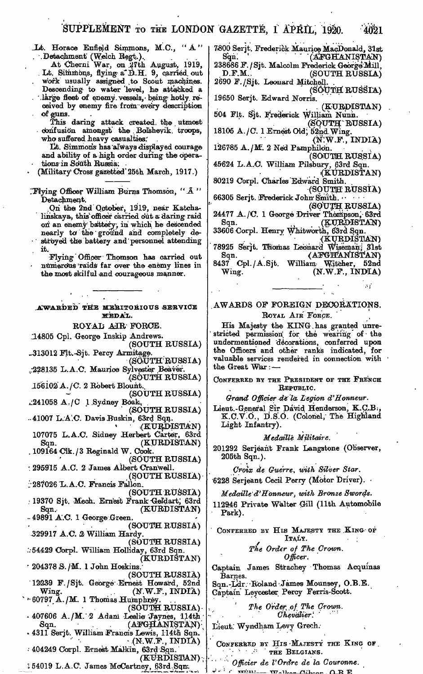- JLt. Horace Enfield Simmons, M.C., "A" . Detachment (Welch Regt.).
	- At Cherni War, on .27th August, 1919, . Lt. Simmons, flying- a\*D..H. 9, carried, out . work usually assigned .to Scout machines.

Descending- to water 'level, he attacked a

. '.large fleet of enemy, vessels,- being hotly, received by enemy fire from: every description of guns.

This daring attack created, the utmost confusion amongst the . Bolshevik, troops, who suffered heavy casualties.

lit. Simmons has 'always displayed courage and ability of a high order during the operations in South Russia.

(Military Cross gazetted'25th March, 1917.)

I'Flying Officer William Burns Thomson, " *A "* Detachment.

.Qri the 2nd October, 1919, near Katcha, linskaya, this officer carried out a daring raid on an enemy battery, in which he descended nearly to the ground and completely destroyed the battery and personnel attending it.

Flying Officer Thomson has carried out numerous raids far over the enemy lines in the most skilful and courageous manner.

AWARDED THE MERITORIOUS SERVICE MEDAL. BOYAl! AIR FORCE. 14805 Cpl. George Inskip Andrews. (SOUTH RUSSIA) .,313012 Fit.-Sit. Percy Armitage. (SOVUTH'RUSSIA) ..•228135 L.A.C. Maurice Sylvester Beaver. .(.SOUTH RUSSIA) .15'6l02'A./C. 2 Robert Blount. (SOUTH RUSSIA)  $\perp$ 241058 A,/C 1 Sydney Boak. (SOUTH RUSSIA) . 41007 L.A.C. Davis Buskin, 63rd Sqn. .(KURDISTAN) 107075 L.A.C. Sidney Herbert Carter, 63rd Sqn. (KURDISTAN) 109164 Clk./3 Reginald W. Cook. (SOUTH RUSSIA) : 295915 A.C. 2 James Albert Cranwell. , (SOUTH RUSSIA) ••287026 Lr. A.C. Francis Fallon. (SOUTH RUSSIA) : 19370 Sjt. Mech. Ernest Frank Geldart, 63rd Sqn, (KURDISTAN)  $-49891$  A.C. 1 George Green. (SOUTH RUSSIA) .329917 A.C. *&* William Hardy. (SOUTH RUSSIA) :.-54429 Corpl. William Holliday, 63rd Sqn. (KURDISTAN) ' 20437« S'./'M. 1 John Hoskins. (SOUTH RUSSIA) 1223.9 F./Sjt. George-Ernest Howard, 52nd  $Wing.$  (N.W.F., INDIA)  $-60797$  A./M. 1 Thomas Humphrey. (SOUTH RUSSIA) -  $-407606$  A./M.  $2$  Adani Leslie Jaynes, 114th  $\texttt{Sqn.} \qquad \qquad \textbf{(AFGHANISTAN)}\,.$ - 4311 Serjt. William Francis Lewis, 114th Sqn. \*  $\cdot$  (N.W.F., INDIA) •• 404249 Corpl. Ernest Malkin, 63rd Sqn.  $(KURDISTAN)$ 

"; 54019 L.A.C. James McCartney, 63rd,Sqnr.

7.800 Serjt. Frederick Maurice MacDonald, 31st (AFGHANISTAN) 238686 F. / Sjt. Malcolm Frederick George Mill,<br>D.F.M.. (SOUTH RUSSIA)

(SOUTH RUSSIA) 2690 F./Sjt. Leonard Mitchell. . (SOUTH RUSSIA)

19650 Serjt. Edward Norris. . . (KURDISTAN) 504 Flt. Sjt. Frederick William Nunn.

(SOUTH'RUSSIA) 18105 A./C. 1 Ernest Old, 52nd Wing.

 $(N.W.F., INDIA)$ 126785 A./M. 2 Ned Pamphilon.

(SOUTH RUSSIA) 45624 L.A.C. William Pilsbury, 63rd Sqn. <KURD'ISTAN)

80219 Corpl. Charles'Edward Smith. (SOUTH RUSSIA)

66305 Serjt. Frederick John Smith. (SOtJTH RUSSIA)

24477 A./C. 1 George Driver Thompson; 63rd (KURDISTAN)

33606 Corpl. Henry Whitworthj 63rd Sqn. .(KURDISTAN) 78925 Serjt. Thomas Leonard Wiseman; 31st

 $\text{Sqn.} \hspace{1cm} (\text{AFGH'ANIST'AN})$ 8437 Cpl./A.Sjt. William Witcher, 52nd<br>Wing. (N.W.F., INDIA)  $(N.W.F., INDIA)$ 

### .AWARDS OF FOREIGN DECORATIONS. ROYAL AIR FORCE.

His Majesty the KING.has granted unrestricted permission for the wearing of the undermentioned 'decorations, conferred upon the Officers and other ranks indicated, for valuable services rendered in connection with the Great Wlar: —

CONFERRED BY THE PRESIDENT OF THE FRENCH REPUBLIC.

*Grand Officier de'la Legion d'Honneur.*

Lieut.-General Sir David Henderson, K.C.B. K.C.V.O., D.S.O. (Colonel, The Highland Light Infantry).

### *Medaille Militaire.*

201292 Serjeant Frank Langstone (Observer, 205th Sqn.).

*CTOIX de Guerre, with Silver Star.* 6228 Serjeant Cecii Perry (Motor Driver). •

*Medaille'd'Honneur, with Bronze Swords.*

112946 Private Walter Gill (11th Automobile Park).

CONFERRED BY HIS MAJESTY THE KING OF ITALY. ;

### *The Order of The Crown. Officer.*

Captain James Strachey Thomas Acquinas Barnes.

Sqn.-Ldr. Roland James Mounsey, O.B.E. Captain Leycester Percy Ferris-Scott.

> *The Order, of The Crown. Chevalier'.*

Lieut: Wyndham Levy Grech.

CONFERRED BY HIS MAJESTY THE KING OF ... THE BELGIANS.

*Officier de I'Ordre de la Couronne.*  $f: \mathbb{R}^n \to \mathbb{R}^n$   $\mathbb{R}^n \to \mathbb{R}^n$ 

 $-4021$